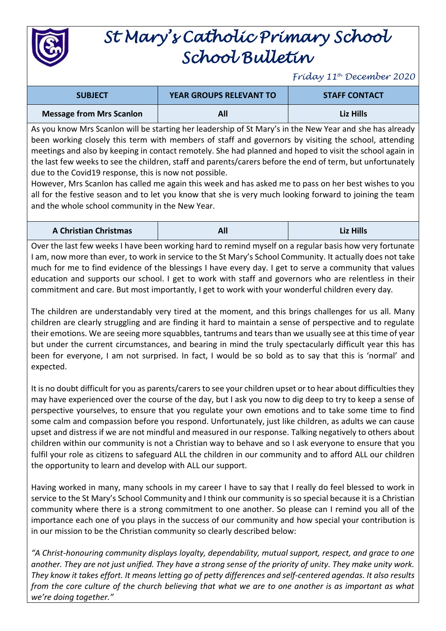

## *St Mary's Catholic Primary School School Bulletin*

*Friday 11th December 2020*

| <b>SUBJECT</b>                  | <b>YEAR GROUPS RELEVANT TO</b> | <b>STAFF CONTACT</b> |
|---------------------------------|--------------------------------|----------------------|
| <b>Message from Mrs Scanlon</b> | All                            | Liz Hills            |

As you know Mrs Scanlon will be starting her leadership of St Mary's in the New Year and she has already been working closely this term with members of staff and governors by visiting the school, attending meetings and also by keeping in contact remotely. She had planned and hoped to visit the school again in the last few weeks to see the children, staff and parents/carers before the end of term, but unfortunately due to the Covid19 response, this is now not possible.

However, Mrs Scanlon has called me again this week and has asked me to pass on her best wishes to you all for the festive season and to let you know that she is very much looking forward to joining the team and the whole school community in the New Year.

| <b>A Christian Christmas</b> |  | Liz Hills |
|------------------------------|--|-----------|
|------------------------------|--|-----------|

Over the last few weeks I have been working hard to remind myself on a regular basis how very fortunate I am, now more than ever, to work in service to the St Mary's School Community. It actually does not take much for me to find evidence of the blessings I have every day. I get to serve a community that values education and supports our school. I get to work with staff and governors who are relentless in their commitment and care. But most importantly, I get to work with your wonderful children every day.

The children are understandably very tired at the moment, and this brings challenges for us all. Many children are clearly struggling and are finding it hard to maintain a sense of perspective and to regulate their emotions. We are seeing more squabbles, tantrums and tears than we usually see at this time of year but under the current circumstances, and bearing in mind the truly spectacularly difficult year this has been for everyone, I am not surprised. In fact, I would be so bold as to say that this is 'normal' and expected.

It is no doubt difficult for you as parents/carers to see your children upset or to hear about difficulties they may have experienced over the course of the day, but I ask you now to dig deep to try to keep a sense of perspective yourselves, to ensure that you regulate your own emotions and to take some time to find some calm and compassion before you respond. Unfortunately, just like children, as adults we can cause upset and distress if we are not mindful and measured in our response. Talking negatively to others about children within our community is not a Christian way to behave and so I ask everyone to ensure that you fulfil your role as citizens to safeguard ALL the children in our community and to afford ALL our children the opportunity to learn and develop with ALL our support.

Having worked in many, many schools in my career I have to say that I really do feel blessed to work in service to the St Mary's School Community and I think our community is so special because it is a Christian community where there is a strong commitment to one another. So please can I remind you all of the importance each one of you plays in the success of our community and how special your contribution is in our mission to be the Christian community so clearly described below:

*"A Christ-honouring community displays loyalty, dependability, mutual support, respect, and grace to one another. They are not just unified. They have a strong sense of the priority of unity. They make unity work. They know it takes effort. It means letting go of petty differences and self-centered agendas. It also results from the core culture of the church believing that what we are to one another is as important as what we're doing together."*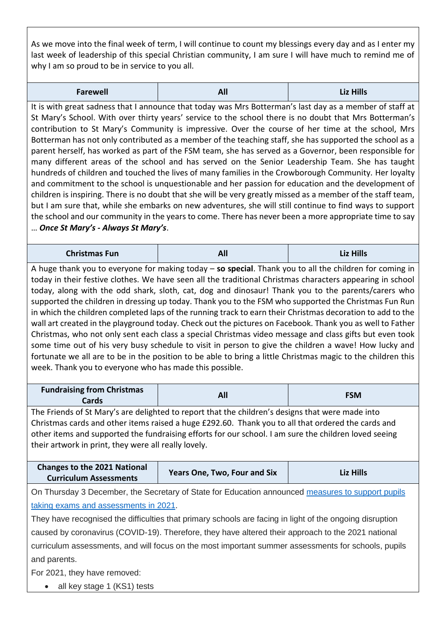As we move into the final week of term, I will continue to count my blessings every day and as I enter my last week of leadership of this special Christian community, I am sure I will have much to remind me of why I am so proud to be in service to you all.

| <b>Farewell</b> | Δľ<br>$\sim$ | Liz Hills |
|-----------------|--------------|-----------|
|-----------------|--------------|-----------|

It is with great sadness that I announce that today was Mrs Botterman's last day as a member of staff at St Mary's School. With over thirty years' service to the school there is no doubt that Mrs Botterman's contribution to St Mary's Community is impressive. Over the course of her time at the school, Mrs Botterman has not only contributed as a member of the teaching staff, she has supported the school as a parent herself, has worked as part of the FSM team, she has served as a Governor, been responsible for many different areas of the school and has served on the Senior Leadership Team. She has taught hundreds of children and touched the lives of many families in the Crowborough Community. Her loyalty and commitment to the school is unquestionable and her passion for education and the development of children is inspiring. There is no doubt that she will be very greatly missed as a member of the staff team, but I am sure that, while she embarks on new adventures, she will still continue to find ways to support the school and our community in the years to come. There has never been a more appropriate time to say … *Once St Mary's - Always St Mary's*.

| <b>Christmas Fun</b> | $\mathbf{A}^{\mathbf{r}}$<br>200 Z | Liz Hills |
|----------------------|------------------------------------|-----------|
|----------------------|------------------------------------|-----------|

A huge thank you to everyone for making today – **so special**. Thank you to all the children for coming in today in their festive clothes. We have seen all the traditional Christmas characters appearing in school today, along with the odd shark, sloth, cat, dog and dinosaur! Thank you to the parents/carers who supported the children in dressing up today. Thank you to the FSM who supported the Christmas Fun Run in which the children completed laps of the running track to earn their Christmas decoration to add to the wall art created in the playground today. Check out the pictures on Facebook. Thank you as well to Father Christmas, who not only sent each class a special Christmas video message and class gifts but even took some time out of his very busy schedule to visit in person to give the children a wave! How lucky and fortunate we all are to be in the position to be able to bring a little Christmas magic to the children this week. Thank you to everyone who has made this possible.

| <b>Fundraising from Christmas</b><br>Cards |  | <b>FSM</b> |
|--------------------------------------------|--|------------|
|--------------------------------------------|--|------------|

The Friends of St Mary's are delighted to report that the children's designs that were made into Christmas cards and other items raised a huge £292.60. Thank you to all that ordered the cards and other items and supported the fundraising efforts for our school. I am sure the children loved seeing their artwork in print, they were all really lovely.

| <b>Changes to the 2021 National</b> | <b>Years One, Two, Four and Six</b> | <b>Liz Hills</b> |
|-------------------------------------|-------------------------------------|------------------|
| <b>Curriculum Assessments</b>       |                                     |                  |

On Thursday 3 December, the Secretary of State for Education announced [measures to support pupils](https://www.us17.list-manage.com/track/click?u=8088a92c9c7454749d4a06114&id=4b00647371&e=4fd1c763c5)  [taking exams and assessments in 2021.](https://www.us17.list-manage.com/track/click?u=8088a92c9c7454749d4a06114&id=4b00647371&e=4fd1c763c5)

They have recognised the difficulties that primary schools are facing in light of the ongoing disruption caused by coronavirus (COVID-19). Therefore, they have altered their approach to the 2021 national curriculum assessments, and will focus on the most important summer assessments for schools, pupils and parents.

For 2021, they have removed:

• all key stage 1 (KS1) tests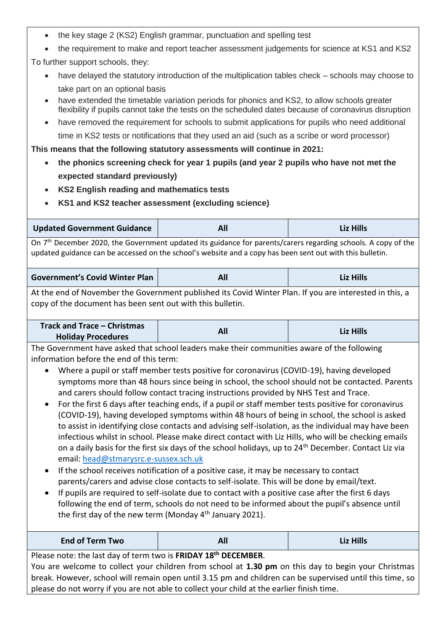- the key stage 2 (KS2) English grammar, punctuation and spelling test
- the requirement to make and report teacher assessment judgements for science at KS1 and KS2

To further support schools, they:

- have delayed the statutory introduction of the multiplication tables check schools may choose to take part on an optional basis
- have extended the timetable variation periods for phonics and KS2, to allow schools greater flexibility if pupils cannot take the tests on the scheduled dates because of coronavirus disruption
- have removed the requirement for schools to submit applications for pupils who need additional time in KS2 tests or notifications that they used an aid (such as a scribe or word processor)

**This means that the following statutory assessments will continue in 2021:** 

- **the phonics screening check for year 1 pupils (and year 2 pupils who have not met the expected standard previously)**
- **KS2 English reading and mathematics tests**
- **KS1 and KS2 teacher assessment (excluding science)**

| Updated Government Guidance |  | <b>Liz Hills</b> |
|-----------------------------|--|------------------|
|-----------------------------|--|------------------|

On 7<sup>th</sup> December 2020, the Government updated its guidance for parents/carers regarding schools. A copy of the updated guidance can be accessed on the school's website and a copy has been sent out with this bulletin.

| <b>Government's Covid Winter Plan</b> | All | <b>Liz Hills</b> |
|---------------------------------------|-----|------------------|
|---------------------------------------|-----|------------------|

At the end of November the Government published its Covid Winter Plan. If you are interested in this, a copy of the document has been sent out with this bulletin.

| Track and Trace – Christmas |            |                  |
|-----------------------------|------------|------------------|
| <b>Holiday Procedures</b>   | <b>All</b> | <b>Liz Hills</b> |

The Government have asked that school leaders make their communities aware of the following information before the end of this term:

- Where a pupil or staff member tests positive for coronavirus (COVID-19), having developed symptoms more than 48 hours since being in school, the school should not be contacted. Parents and carers should follow contact tracing instructions provided by NHS Test and Trace.
- For the first 6 days after teaching ends, if a pupil or staff member tests positive for coronavirus (COVID-19), having developed symptoms within 48 hours of being in school, the school is asked to assist in identifying close contacts and advising self-isolation, as the individual may have been infectious whilst in school. Please make direct contact with Liz Hills, who will be checking emails on a daily basis for the first six days of the school holidays, up to 24th December. Contact Liz via email: [head@stmarysrc.e-sussex.sch.uk](mailto:head@stmarysrc.e-sussex.sch.uk)
- If the school receives notification of a positive case, it may be necessary to contact parents/carers and advise close contacts to self-isolate. This will be done by email/text.
- If pupils are required to self-isolate due to contact with a positive case after the first 6 days following the end of term, schools do not need to be informed about the pupil's absence until the first day of the new term (Monday  $4<sup>th</sup>$  January 2021).

| <b>End of Term Two</b> | All<br>---- | .<br>- 17 |
|------------------------|-------------|-----------|
|------------------------|-------------|-----------|

Please note: the last day of term two is **FRIDAY 18th DECEMBER**.

You are welcome to collect your children from school at **1.30 pm** on this day to begin your Christmas break. However, school will remain open until 3.15 pm and children can be supervised until this time, so please do not worry if you are not able to collect your child at the earlier finish time.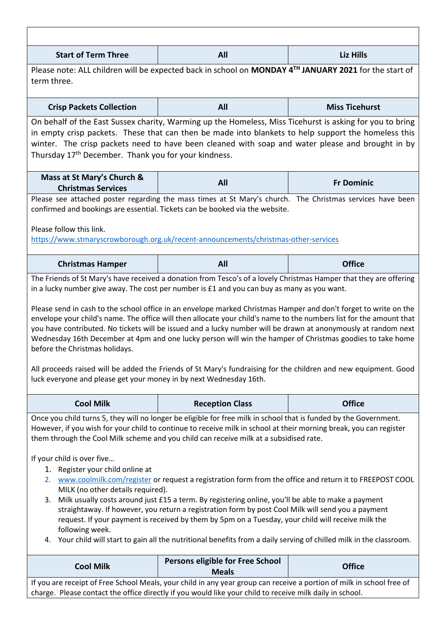| <b>Start of Term Three</b>                                                                                                                                                                                                                                                                                                                                                                                                                                                                                                                                                                                                                                                                                                                                                                                                                                                                                                                                                                                                | All                                                                                                                                                                                                                                                                                                                 | Liz Hills             |  |
|---------------------------------------------------------------------------------------------------------------------------------------------------------------------------------------------------------------------------------------------------------------------------------------------------------------------------------------------------------------------------------------------------------------------------------------------------------------------------------------------------------------------------------------------------------------------------------------------------------------------------------------------------------------------------------------------------------------------------------------------------------------------------------------------------------------------------------------------------------------------------------------------------------------------------------------------------------------------------------------------------------------------------|---------------------------------------------------------------------------------------------------------------------------------------------------------------------------------------------------------------------------------------------------------------------------------------------------------------------|-----------------------|--|
| Please note: ALL children will be expected back in school on MONDAY 4TH JANUARY 2021 for the start of<br>term three.                                                                                                                                                                                                                                                                                                                                                                                                                                                                                                                                                                                                                                                                                                                                                                                                                                                                                                      |                                                                                                                                                                                                                                                                                                                     |                       |  |
| <b>Crisp Packets Collection</b>                                                                                                                                                                                                                                                                                                                                                                                                                                                                                                                                                                                                                                                                                                                                                                                                                                                                                                                                                                                           | All                                                                                                                                                                                                                                                                                                                 | <b>Miss Ticehurst</b> |  |
| Thursday 17 <sup>th</sup> December. Thank you for your kindness.                                                                                                                                                                                                                                                                                                                                                                                                                                                                                                                                                                                                                                                                                                                                                                                                                                                                                                                                                          | On behalf of the East Sussex charity, Warming up the Homeless, Miss Ticehurst is asking for you to bring<br>in empty crisp packets. These that can then be made into blankets to help support the homeless this<br>winter. The crisp packets need to have been cleaned with soap and water please and brought in by |                       |  |
| Mass at St Mary's Church &<br><b>Christmas Services</b>                                                                                                                                                                                                                                                                                                                                                                                                                                                                                                                                                                                                                                                                                                                                                                                                                                                                                                                                                                   | All                                                                                                                                                                                                                                                                                                                 | <b>Fr Dominic</b>     |  |
| Please follow this link.                                                                                                                                                                                                                                                                                                                                                                                                                                                                                                                                                                                                                                                                                                                                                                                                                                                                                                                                                                                                  | Please see attached poster regarding the mass times at St Mary's church. The Christmas services have been<br>confirmed and bookings are essential. Tickets can be booked via the website.<br>https://www.stmaryscrowborough.org.uk/recent-announcements/christmas-other-services                                    |                       |  |
| <b>Christmas Hamper</b>                                                                                                                                                                                                                                                                                                                                                                                                                                                                                                                                                                                                                                                                                                                                                                                                                                                                                                                                                                                                   | All                                                                                                                                                                                                                                                                                                                 | <b>Office</b>         |  |
| Please send in cash to the school office in an envelope marked Christmas Hamper and don't forget to write on the<br>envelope your child's name. The office will then allocate your child's name to the numbers list for the amount that<br>you have contributed. No tickets will be issued and a lucky number will be drawn at anonymously at random next<br>Wednesday 16th December at 4pm and one lucky person will win the hamper of Christmas goodies to take home<br>before the Christmas holidays.<br>All proceeds raised will be added the Friends of St Mary's fundraising for the children and new equipment. Good<br>luck everyone and please get your money in by next Wednesday 16th.                                                                                                                                                                                                                                                                                                                         |                                                                                                                                                                                                                                                                                                                     |                       |  |
| <b>Cool Milk</b>                                                                                                                                                                                                                                                                                                                                                                                                                                                                                                                                                                                                                                                                                                                                                                                                                                                                                                                                                                                                          | <b>Reception Class</b>                                                                                                                                                                                                                                                                                              | <b>Office</b>         |  |
| Once you child turns 5, they will no longer be eligible for free milk in school that is funded by the Government.<br>However, if you wish for your child to continue to receive milk in school at their morning break, you can register<br>them through the Cool Milk scheme and you child can receive milk at a subsidised rate.<br>If your child is over five<br>1. Register your child online at<br>2. www.coolmilk.com/register or request a registration form from the office and return it to FREEPOST COOL<br>MILK (no other details required).<br>3. Milk usually costs around just £15 a term. By registering online, you'll be able to make a payment<br>straightaway. If however, you return a registration form by post Cool Milk will send you a payment<br>request. If your payment is received by them by 5pm on a Tuesday, your child will receive milk the<br>following week.<br>Your child will start to gain all the nutritional benefits from a daily serving of chilled milk in the classroom.<br>4. |                                                                                                                                                                                                                                                                                                                     |                       |  |
| <b>Cool Milk</b>                                                                                                                                                                                                                                                                                                                                                                                                                                                                                                                                                                                                                                                                                                                                                                                                                                                                                                                                                                                                          | Persons eligible for Free School<br><b>Meals</b>                                                                                                                                                                                                                                                                    | <b>Office</b>         |  |

If you are receipt of Free School Meals, your child in any year group can receive a portion of milk in school free of charge. Please contact the office directly if you would like your child to receive milk daily in school.